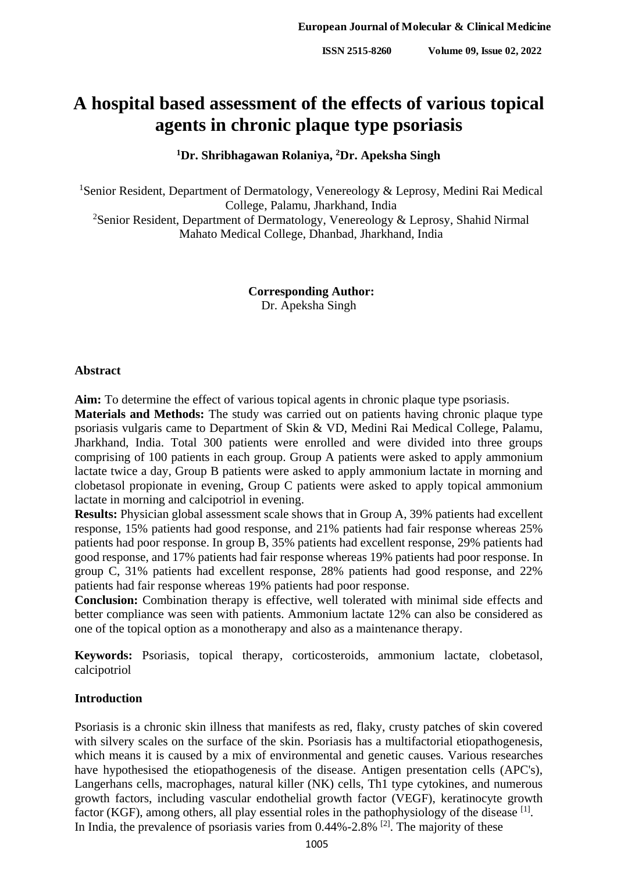# **A hospital based assessment of the effects of various topical agents in chronic plaque type psoriasis**

# **<sup>1</sup>Dr. Shribhagawan Rolaniya, <sup>2</sup>Dr. Apeksha Singh**

<sup>1</sup>Senior Resident, Department of Dermatology, Venereology & Leprosy, Medini Rai Medical College, Palamu, Jharkhand, India <sup>2</sup>Senior Resident, Department of Dermatology, Venereology & Leprosy, Shahid Nirmal Mahato Medical College, Dhanbad, Jharkhand, India

> **Corresponding Author:** Dr. Apeksha Singh

## **Abstract**

**Aim:** To determine the effect of various topical agents in chronic plaque type psoriasis.

**Materials and Methods:** The study was carried out on patients having chronic plaque type psoriasis vulgaris came to Department of Skin & VD, Medini Rai Medical College, Palamu, Jharkhand, India. Total 300 patients were enrolled and were divided into three groups comprising of 100 patients in each group. Group A patients were asked to apply ammonium lactate twice a day, Group B patients were asked to apply ammonium lactate in morning and clobetasol propionate in evening, Group C patients were asked to apply topical ammonium lactate in morning and calcipotriol in evening.

**Results:** Physician global assessment scale shows that in Group A, 39% patients had excellent response, 15% patients had good response, and 21% patients had fair response whereas 25% patients had poor response. In group B, 35% patients had excellent response, 29% patients had good response, and 17% patients had fair response whereas 19% patients had poor response. In group C, 31% patients had excellent response, 28% patients had good response, and 22% patients had fair response whereas 19% patients had poor response.

**Conclusion:** Combination therapy is effective, well tolerated with minimal side effects and better compliance was seen with patients. Ammonium lactate 12% can also be considered as one of the topical option as a monotherapy and also as a maintenance therapy.

**Keywords:** Psoriasis, topical therapy, corticosteroids, ammonium lactate, clobetasol, calcipotriol

# **Introduction**

Psoriasis is a chronic skin illness that manifests as red, flaky, crusty patches of skin covered with silvery scales on the surface of the skin. Psoriasis has a multifactorial etiopathogenesis, which means it is caused by a mix of environmental and genetic causes. Various researches have hypothesised the etiopathogenesis of the disease. Antigen presentation cells (APC's), Langerhans cells, macrophages, natural killer (NK) cells, Th1 type cytokines, and numerous growth factors, including vascular endothelial growth factor (VEGF), keratinocyte growth factor (KGF), among others, all play essential roles in the pathophysiology of the disease [1]. In India, the prevalence of psoriasis varies from  $0.44\%$ -2.8% <sup>[2]</sup>. The majority of these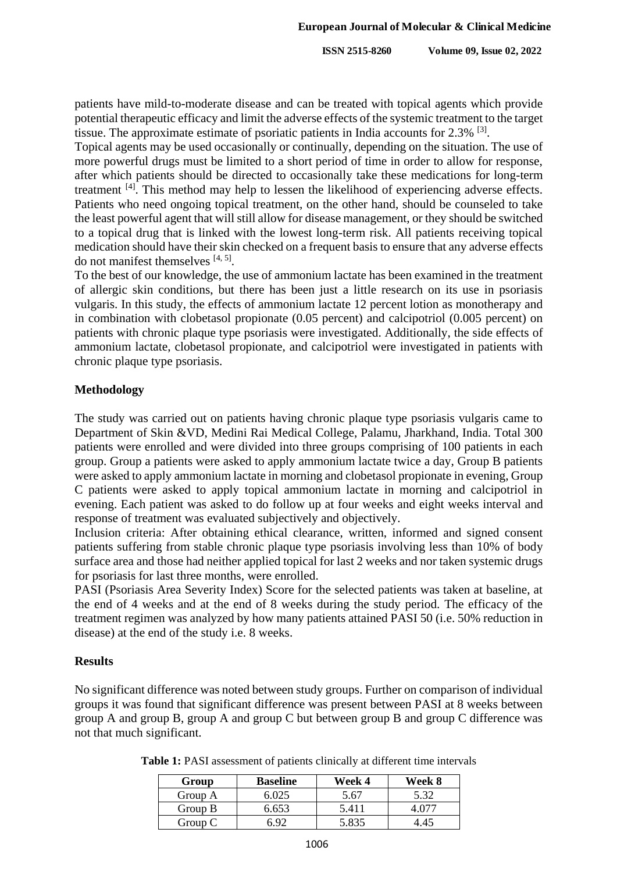patients have mild-to-moderate disease and can be treated with topical agents which provide potential therapeutic efficacy and limit the adverse effects of the systemic treatment to the target tissue. The approximate estimate of psoriatic patients in India accounts for 2.3% <sup>[3]</sup>.

Topical agents may be used occasionally or continually, depending on the situation. The use of more powerful drugs must be limited to a short period of time in order to allow for response, after which patients should be directed to occasionally take these medications for long-term treatment <sup>[4]</sup>. This method may help to lessen the likelihood of experiencing adverse effects. Patients who need ongoing topical treatment, on the other hand, should be counseled to take the least powerful agent that will still allow for disease management, or they should be switched to a topical drug that is linked with the lowest long-term risk. All patients receiving topical medication should have their skin checked on a frequent basis to ensure that any adverse effects do not manifest themselves  $[4, 5]$ .

To the best of our knowledge, the use of ammonium lactate has been examined in the treatment of allergic skin conditions, but there has been just a little research on its use in psoriasis vulgaris. In this study, the effects of ammonium lactate 12 percent lotion as monotherapy and in combination with clobetasol propionate (0.05 percent) and calcipotriol (0.005 percent) on patients with chronic plaque type psoriasis were investigated. Additionally, the side effects of ammonium lactate, clobetasol propionate, and calcipotriol were investigated in patients with chronic plaque type psoriasis.

### **Methodology**

The study was carried out on patients having chronic plaque type psoriasis vulgaris came to Department of Skin &VD, Medini Rai Medical College, Palamu, Jharkhand, India. Total 300 patients were enrolled and were divided into three groups comprising of 100 patients in each group. Group a patients were asked to apply ammonium lactate twice a day, Group B patients were asked to apply ammonium lactate in morning and clobetasol propionate in evening, Group C patients were asked to apply topical ammonium lactate in morning and calcipotriol in evening. Each patient was asked to do follow up at four weeks and eight weeks interval and response of treatment was evaluated subjectively and objectively.

Inclusion criteria: After obtaining ethical clearance, written, informed and signed consent patients suffering from stable chronic plaque type psoriasis involving less than 10% of body surface area and those had neither applied topical for last 2 weeks and nor taken systemic drugs for psoriasis for last three months, were enrolled.

PASI (Psoriasis Area Severity Index) Score for the selected patients was taken at baseline, at the end of 4 weeks and at the end of 8 weeks during the study period. The efficacy of the treatment regimen was analyzed by how many patients attained PASI 50 (i.e. 50% reduction in disease) at the end of the study i.e. 8 weeks.

#### **Results**

No significant difference was noted between study groups. Further on comparison of individual groups it was found that significant difference was present between PASI at 8 weeks between group A and group B, group A and group C but between group B and group C difference was not that much significant.

| Group   | <b>Baseline</b> | Week 4 | Week 8 |
|---------|-----------------|--------|--------|
| Group A | 6 025           | 5.67   | 5.32   |
| Group B | 6.653           | 5.411  |        |
| Group C |                 |        |        |

| Table 1: PASI assessment of patients clinically at different time intervals |  |
|-----------------------------------------------------------------------------|--|
|-----------------------------------------------------------------------------|--|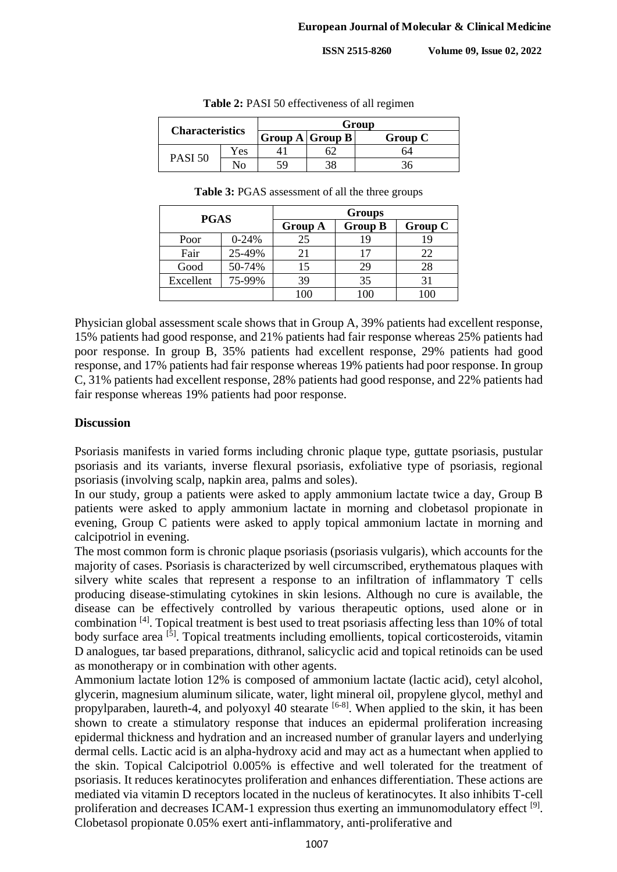**ISSN 2515-8260 Volume 09, Issue 02, 2022**

| <b>Characteristics</b> |     | Group               |  |         |  |
|------------------------|-----|---------------------|--|---------|--|
|                        |     | Group $A$ Group $B$ |  | Group C |  |
| PASI 50                | Yes |                     |  |         |  |
|                        | ง∩  | 50                  |  |         |  |

**Table 2:** PASI 50 effectiveness of all regimen

| <b>Table 3: PGAS</b> assessment of all the three groups |  |  |  |
|---------------------------------------------------------|--|--|--|
|---------------------------------------------------------|--|--|--|

| <b>PGAS</b> |           | <b>Groups</b>  |                |         |
|-------------|-----------|----------------|----------------|---------|
|             |           | <b>Group A</b> | <b>Group B</b> | Group C |
| Poor        | $0 - 24%$ | 25             |                | 19      |
| Fair        | 25-49%    | 21             |                | 22      |
| Good        | 50-74%    | 15             | 29             | 28      |
| Excellent   | 75-99%    | 39             | 35             | 31      |
|             |           | 100            |                | 100     |

Physician global assessment scale shows that in Group A, 39% patients had excellent response, 15% patients had good response, and 21% patients had fair response whereas 25% patients had poor response. In group B, 35% patients had excellent response, 29% patients had good response, and 17% patients had fair response whereas 19% patients had poor response. In group C, 31% patients had excellent response, 28% patients had good response, and 22% patients had fair response whereas 19% patients had poor response.

#### **Discussion**

Psoriasis manifests in varied forms including chronic plaque type, guttate psoriasis, pustular psoriasis and its variants, inverse flexural psoriasis, exfoliative type of psoriasis, regional psoriasis (involving scalp, napkin area, palms and soles).

In our study, group a patients were asked to apply ammonium lactate twice a day, Group B patients were asked to apply ammonium lactate in morning and clobetasol propionate in evening, Group C patients were asked to apply topical ammonium lactate in morning and calcipotriol in evening.

The most common form is chronic plaque psoriasis (psoriasis vulgaris), which accounts for the majority of cases. Psoriasis is characterized by well circumscribed, erythematous plaques with silvery white scales that represent a response to an infiltration of inflammatory T cells producing disease-stimulating cytokines in skin lesions. Although no cure is available, the disease can be effectively controlled by various therapeutic options, used alone or in combination [4]. Topical treatment is best used to treat psoriasis affecting less than 10% of total body surface area <sup>[5]</sup>. Topical treatments including emollients, topical corticosteroids, vitamin D analogues, tar based preparations, dithranol, salicyclic acid and topical retinoids can be used as monotherapy or in combination with other agents.

Ammonium lactate lotion 12% is composed of ammonium lactate (lactic acid), cetyl alcohol, glycerin, magnesium aluminum silicate, water, light mineral oil, propylene glycol, methyl and propylparaben, laureth-4, and polyoxyl 40 stearate  $[6-8]$ . When applied to the skin, it has been shown to create a stimulatory response that induces an epidermal proliferation increasing epidermal thickness and hydration and an increased number of granular layers and underlying dermal cells. Lactic acid is an alpha-hydroxy acid and may act as a humectant when applied to the skin. Topical Calcipotriol 0.005% is effective and well tolerated for the treatment of psoriasis. It reduces keratinocytes proliferation and enhances differentiation. These actions are mediated via vitamin D receptors located in the nucleus of keratinocytes. It also inhibits T-cell proliferation and decreases ICAM-1 expression thus exerting an immunomodulatory effect <sup>[9]</sup>. Clobetasol propionate 0.05% exert anti-inflammatory, anti-proliferative and